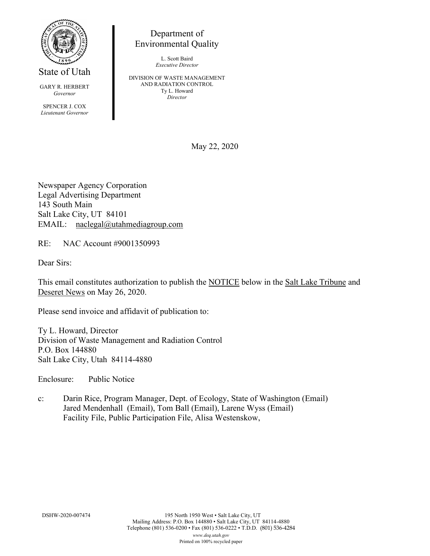

State of Utah

GARY R. HERBERT *Governor* SPENCER J. COX *Lieutenant Governor*

Environmental Quality

L. Scott Baird *Executive Director*

Department of

DIVISION OF WASTE MANAGEMENT AND RADIATION CONTROL Ty L. Howard *Director*

May 22, 2020

Newspaper Agency Corporation Legal Advertising Department 143 South Main Salt Lake City, UT 84101 EMAIL: naclegal@utahmediagroup.com

RE: NAC Account #9001350993

Dear Sirs:

This email constitutes authorization to publish the NOTICE below in the Salt Lake Tribune and Deseret News on May 26, 2020.

Please send invoice and affidavit of publication to:

Ty L. Howard, Director Division of Waste Management and Radiation Control P.O. Box 144880 Salt Lake City, Utah 84114-4880

Enclosure: Public Notice

c: Darin Rice, Program Manager, Dept. of Ecology, State of Washington (Email) Jared Mendenhall (Email), Tom Ball (Email), Larene Wyss (Email) Facility File, Public Participation File, Alisa Westenskow,